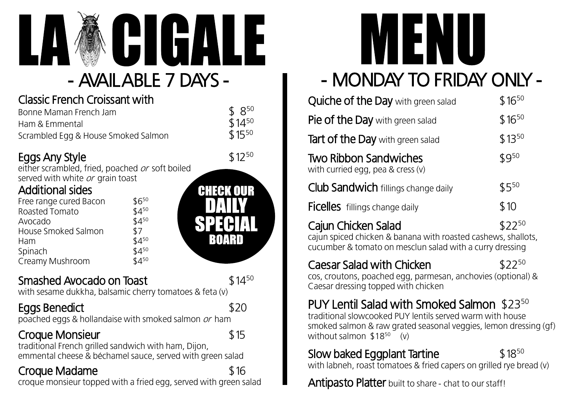

## - AVAILABLE 7 DAYS -

#### Classic French Croissant with

| Bonne Maman French Jam              | $$8^{50}$  |
|-------------------------------------|------------|
| Ham & Emmental                      | $$14^{50}$ |
| Scrambled Egg & House Smoked Salmon | $$15^{50}$ |

#### Eggs Any Style

either scrambled, fried, poached or soft boiled served with white or grain toast

#### Additional sides

| \$650     |
|-----------|
| $$4^{50}$ |
| $$4^{50}$ |
| \$7       |
| $$4^{50}$ |
| $$4^{50}$ |
| $$4^{50}$ |
|           |

#### Smashed Avocado on Toast \$14<sup>50</sup>

**BOARD** 

 $$12^{50}$ 

with sesame dukkha, balsamic cherry tomatoes & feta (v)

#### Eggs Benedict \$20

poached eggs & hollandaise with smoked salmon or ham

#### Croque Monsieur  $$15$

traditional French grilled sandwich with ham, Dijon, emmental cheese & béchamel sauce, served with green salad

#### Croque Madame  $$16$

croque monsieur topped with a fried egg, served with green salad



## - MONDAY TO FRIDAY ONLY -

| Quiche of the Day with green salad                                                 | $$16^{50}$ |
|------------------------------------------------------------------------------------|------------|
| Pie of the Day with green salad                                                    | $$16^{50}$ |
| <b>Tart of the Day</b> with green salad                                            | $$13^{50}$ |
| <b>Two Ribbon Sandwiches</b><br>with curried egg, pea $&$ cress $(v)$              | $$9^{50}$  |
| <b>Club Sandwich fillings change daily</b>                                         | $$5^{50}$  |
| <b>Ficelles</b> fillings change daily                                              | \$10       |
| Cajun Chicken Salad<br>cajun spiced chicken & banana with roasted cashews, shallot | $$22^{50}$ |

cajun spiced chicken & banana with roasted cashews, shallots, cucumber & tomato on mesclun salad with a curry dressing

#### Caesar Salad with Chicken

 $$22^{50}$ 

cos, croutons, poached egg, parmesan, anchovies (optional) & Caesar dressing topped with chicken

### PUY Lentil Salad with Smoked Salmon \$23<sup>50</sup>

traditional slowcooked PUY lentils served warm with house smoked salmon & raw grated seasonal veggies, lemon dressing (gf) without salmon  $$18^{50}$  (v)

### Slow baked Eggplant Tartine

 $$18^{50}$ 

with labneh, roast tomatoes & fried capers on grilled rye bread (v)

Antipasto Platter built to share - chat to our staff!